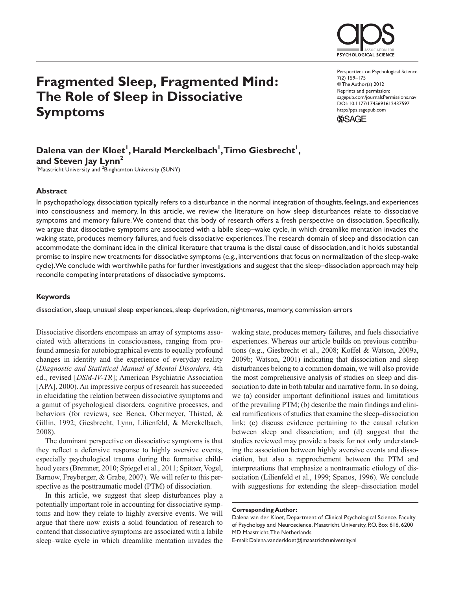

# **Fragmented Sleep, Fragmented Mind: The Role of Sleep in Dissociative Symptoms**

Perspectives on Psychological Science 7(2) 159–175 © The Author(s) 2012 Reprints and permission: sagepub.com/journalsPermissions.nav DOI: 10.1177/1745691612437597 http://pps.sagepub.com



## Dalena van der Kloet<sup>1</sup>, Harald Merckelbach<sup>1</sup>, Timo Giesbrecht<sup>1</sup>, and Steven Jay Lynn<sup>2</sup>

<sup>1</sup>Maastricht University and <sup>2</sup>Binghamton University (SUNY)

#### **Abstract**

In psychopathology, dissociation typically refers to a disturbance in the normal integration of thoughts, feelings, and experiences into consciousness and memory. In this article, we review the literature on how sleep disturbances relate to dissociative symptoms and memory failure. We contend that this body of research offers a fresh perspective on dissociation. Specifically, we argue that dissociative symptoms are associated with a labile sleep–wake cycle, in which dreamlike mentation invades the waking state, produces memory failures, and fuels dissociative experiences. The research domain of sleep and dissociation can accommodate the dominant idea in the clinical literature that trauma is the distal cause of dissociation, and it holds substantial promise to inspire new treatments for dissociative symptoms (e.g., interventions that focus on normalization of the sleep-wake cycle). We conclude with worthwhile paths for further investigations and suggest that the sleep–dissociation approach may help reconcile competing interpretations of dissociative symptoms.

#### **Keywords**

dissociation, sleep, unusual sleep experiences, sleep deprivation, nightmares, memory, commission errors

Dissociative disorders encompass an array of symptoms associated with alterations in consciousness, ranging from profound amnesia for autobiographical events to equally profound changes in identity and the experience of everyday reality (*Diagnostic and Statistical Manual of Mental Disorders,* 4th ed., revised [*DSM-IV-TR*]; American Psychiatric Association [APA], 2000). An impressive corpus of research has succeeded in elucidating the relation between dissociative symptoms and a gamut of psychological disorders, cognitive processes, and behaviors (for reviews, see Benca, Obermeyer, Thisted, & Gillin, 1992; Giesbrecht, Lynn, Lilienfeld, & Merckelbach, 2008).

The dominant perspective on dissociative symptoms is that they reflect a defensive response to highly aversive events, especially psychological trauma during the formative childhood years (Bremner, 2010; Spiegel et al., 2011; Spitzer, Vogel, Barnow, Freyberger, & Grabe, 2007). We will refer to this perspective as the posttraumatic model (PTM) of dissociation.

In this article, we suggest that sleep disturbances play a potentially important role in accounting for dissociative symptoms and how they relate to highly aversive events. We will argue that there now exists a solid foundation of research to contend that dissociative symptoms are associated with a labile sleep–wake cycle in which dreamlike mentation invades the

waking state, produces memory failures, and fuels dissociative experiences. Whereas our article builds on previous contributions (e.g., Giesbrecht et al., 2008; Koffel & Watson, 2009a, 2009b; Watson, 2001) indicating that dissociation and sleep disturbances belong to a common domain, we will also provide the most comprehensive analysis of studies on sleep and dissociation to date in both tabular and narrative form. In so doing, we (a) consider important definitional issues and limitations of the prevailing PTM; (b) describe the main findings and clinical ramifications of studies that examine the sleep–dissociation link; (c) discuss evidence pertaining to the causal relation between sleep and dissociation; and (d) suggest that the studies reviewed may provide a basis for not only understanding the association between highly aversive events and dissociation, but also a rapprochement between the PTM and interpretations that emphasize a nontraumatic etiology of dissociation (Lilienfeld et al., 1999; Spanos, 1996). We conclude with suggestions for extending the sleep–dissociation model

Dalena van der Kloet, Department of Clinical Psychological Science, Faculty of Psychology and Neuroscience, Maastricht University, P.O. Box 616, 6200 MD Maastricht, The Netherlands

E-mail: Dalena.vanderkloet@maastrichtuniversity.nl

**Corresponding Author:**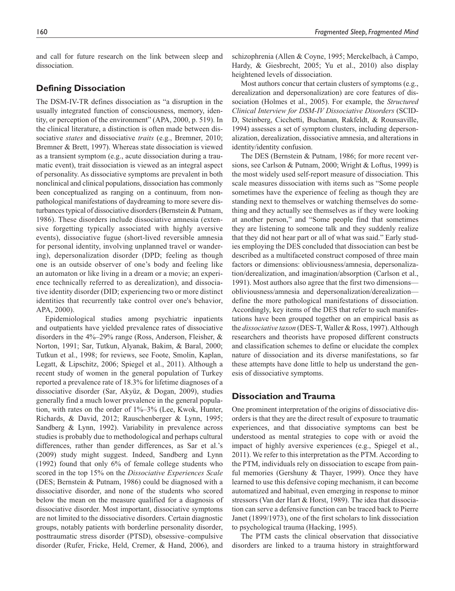and call for future research on the link between sleep and dissociation.

## **Defining Dissociation**

The DSM-IV-TR defines dissociation as "a disruption in the usually integrated function of consciousness, memory, identity, or perception of the environment" (APA, 2000, p. 519). In the clinical literature, a distinction is often made between dissociative *states* and dissociative *traits* (e.g., Bremner, 2010; Bremner & Brett, 1997). Whereas state dissociation is viewed as a transient symptom (e.g., acute dissociation during a traumatic event), trait dissociation is viewed as an integral aspect of personality. As dissociative symptoms are prevalent in both nonclinical and clinical populations, dissociation has commonly been conceptualized as ranging on a continuum, from nonpathological manifestations of daydreaming to more severe disturbances typical of dissociative disorders (Bernstein & Putnam, 1986). These disorders include dissociative amnesia (extensive forgetting typically associated with highly aversive events), dissociative fugue (short-lived reversible amnesia for personal identity, involving unplanned travel or wandering), depersonalization disorder (DPD; feeling as though one is an outside observer of one's body and feeling like an automaton or like living in a dream or a movie; an experience technically referred to as derealization), and dissociative identity disorder (DID; experiencing two or more distinct identities that recurrently take control over one's behavior, APA, 2000).

Epidemiological studies among psychiatric inpatients and outpatients have yielded prevalence rates of dissociative disorders in the 4%–29% range (Ross, Anderson, Fleisher, & Norton, 1991; Sar, Tutkun, Alyanak, Bakim, & Baral, 2000; Tutkun et al., 1998; for reviews, see Foote, Smolin, Kaplan, Legatt, & Lipschitz, 2006; Spiegel et al., 2011). Although a recent study of women in the general population of Turkey reported a prevalence rate of 18.3% for lifetime diagnoses of a dissociative disorder (Sar, Akyüz, & Dogan, 2009), studies generally find a much lower prevalence in the general population, with rates on the order of 1%–3% (Lee, Kwok, Hunter, Richards, & David, 2012; Rauschenberger & Lynn, 1995; Sandberg & Lynn, 1992). Variability in prevalence across studies is probably due to methodological and perhaps cultural differences, rather than gender differences, as Sar et al.'s (2009) study might suggest. Indeed, Sandberg and Lynn (1992) found that only 6% of female college students who scored in the top 15% on the *Dissociative Experiences Scale* (DES; Bernstein & Putnam, 1986) could be diagnosed with a dissociative disorder, and none of the students who scored below the mean on the measure qualified for a diagnosis of dissociative disorder. Most important, dissociative symptoms are not limited to the dissociative disorders. Certain diagnostic groups, notably patients with borderline personality disorder, posttraumatic stress disorder (PTSD), obsessive–compulsive disorder (Rufer, Fricke, Held, Cremer, & Hand, 2006), and

schizophrenia (Allen & Coyne, 1995; Merckelbach, à Campo, Hardy, & Giesbrecht, 2005; Yu et al., 2010) also display heightened levels of dissociation.

Most authors concur that certain clusters of symptoms (e.g., derealization and depersonalization) are core features of dissociation (Holmes et al., 2005). For example, the *Structured Clinical Interview for DSM-IV Dissociative Disorders* (SCID-D, Steinberg, Cicchetti, Buchanan, Rakfeldt, & Rounsaville, 1994) assesses a set of symptom clusters, including depersonalization, derealization, dissociative amnesia, and alterations in identity/identity confusion.

The DES (Bernstein & Putnam, 1986; for more recent versions, see Carlson & Putnam, 2000; Wright & Loftus, 1999) is the most widely used self-report measure of dissociation. This scale measures dissociation with items such as "Some people sometimes have the experience of feeling as though they are standing next to themselves or watching themselves do something and they actually see themselves as if they were looking at another person," and "Some people find that sometimes they are listening to someone talk and they suddenly realize that they did not hear part or all of what was said." Early studies employing the DES concluded that dissociation can best be described as a multifaceted construct composed of three main factors or dimensions: obliviousness/amnesia, depersonalization/derealization, and imagination/absorption (Carlson et al., 1991). Most authors also agree that the first two dimensions obliviousness/amnesia and depersonalization/derealization define the more pathological manifestations of dissociation. Accordingly, key items of the DES that refer to such manifestations have been grouped together on an empirical basis as the *dissociative taxon* (DES-T, Waller & Ross, 1997). Although researchers and theorists have proposed different constructs and classification schemes to define or elucidate the complex nature of dissociation and its diverse manifestations, so far these attempts have done little to help us understand the genesis of dissociative symptoms.

## **Dissociation and Trauma**

One prominent interpretation of the origins of dissociative disorders is that they are the direct result of exposure to traumatic experiences, and that dissociative symptoms can best be understood as mental strategies to cope with or avoid the impact of highly aversive experiences (e.g., Spiegel et al., 2011). We refer to this interpretation as the PTM. According to the PTM, individuals rely on dissociation to escape from painful memories (Gershuny & Thayer, 1999). Once they have learned to use this defensive coping mechanism, it can become automatized and habitual, even emerging in response to minor stressors (Van der Hart & Horst, 1989). The idea that dissociation can serve a defensive function can be traced back to Pierre Janet (1899/1973), one of the first scholars to link dissociation to psychological trauma (Hacking, 1995).

The PTM casts the clinical observation that dissociative disorders are linked to a trauma history in straightforward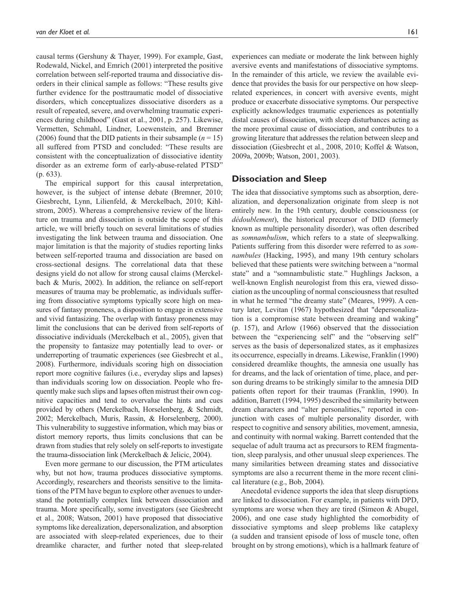causal terms (Gershuny & Thayer, 1999). For example, Gast, Rodewald, Nickel, and Emrich (2001) interpreted the positive correlation between self-reported trauma and dissociative disorders in their clinical sample as follows: "These results give further evidence for the posttraumatic model of dissociative disorders, which conceptualizes dissociative disorders as a result of repeated, severe, and overwhelming traumatic experiences during childhood" (Gast et al., 2001, p. 257). Likewise, Vermetten, Schmahl, Lindner, Loewenstein, and Bremner (2006) found that the DID patients in their subsample  $(n = 15)$ all suffered from PTSD and concluded: "These results are consistent with the conceptualization of dissociative identity disorder as an extreme form of early-abuse-related PTSD" (p. 633).

The empirical support for this causal interpretation, however, is the subject of intense debate (Bremner, 2010; Giesbrecht, Lynn, Lilienfeld, & Merckelbach, 2010; Kihlstrom, 2005). Whereas a comprehensive review of the literature on trauma and dissociation is outside the scope of this article, we will briefly touch on several limitations of studies investigating the link between trauma and dissociation. One major limitation is that the majority of studies reporting links between self-reported trauma and dissociation are based on cross-sectional designs. The correlational data that these designs yield do not allow for strong causal claims (Merckelbach & Muris, 2002). In addition, the reliance on self-report measures of trauma may be problematic, as individuals suffering from dissociative symptoms typically score high on measures of fantasy proneness, a disposition to engage in extensive and vivid fantasizing. The overlap with fantasy proneness may limit the conclusions that can be derived from self-reports of dissociative individuals (Merckelbach et al., 2005), given that the propensity to fantasize may potentially lead to over- or underreporting of traumatic experiences (see Giesbrecht et al., 2008). Furthermore, individuals scoring high on dissociation report more cognitive failures (i.e., everyday slips and lapses) than individuals scoring low on dissociation. People who frequently make such slips and lapses often mistrust their own cognitive capacities and tend to overvalue the hints and cues provided by others (Merckelbach, Horselenberg, & Schmidt, 2002; Merckelbach, Muris, Rassin, & Horselenberg, 2000). This vulnerability to suggestive information, which may bias or distort memory reports, thus limits conclusions that can be drawn from studies that rely solely on self-reports to investigate the trauma-dissociation link (Merckelbach & Jelicic, 2004).

Even more germane to our discussion, the PTM articulates why, but not how, trauma produces dissociative symptoms. Accordingly, researchers and theorists sensitive to the limitations of the PTM have begun to explore other avenues to understand the potentially complex link between dissociation and trauma. More specifically, some investigators (see Giesbrecht et al., 2008; Watson, 2001) have proposed that dissociative symptoms like derealization, depersonalization, and absorption are associated with sleep-related experiences, due to their dreamlike character, and further noted that sleep-related

experiences can mediate or moderate the link between highly aversive events and manifestations of dissociative symptoms. In the remainder of this article, we review the available evidence that provides the basis for our perspective on how sleeprelated experiences, in concert with aversive events, might produce or exacerbate dissociative symptoms. Our perspective explicitly acknowledges traumatic experiences as potentially distal causes of dissociation, with sleep disturbances acting as the more proximal cause of dissociation, and contributes to a growing literature that addresses the relation between sleep and dissociation (Giesbrecht et al., 2008, 2010; Koffel & Watson, 2009a, 2009b; Watson, 2001, 2003).

#### **Dissociation and Sleep**

The idea that dissociative symptoms such as absorption, derealization, and depersonalization originate from sleep is not entirely new. In the 19th century, double consciousness (or *dédoublement*), the historical precursor of DID (formerly known as multiple personality disorder), was often described as *somnambulism*, which refers to a state of sleepwalking. Patients suffering from this disorder were referred to as *somnambules* (Hacking, 1995), and many 19th century scholars believed that these patients were switching between a "normal state" and a "somnambulistic state." Hughlings Jackson, a well-known English neurologist from this era, viewed dissociation as the uncoupling of normal consciousness that resulted in what he termed "the dreamy state" (Meares, 1999). A century later, Levitan (1967) hypothesized that "depersonalization is a compromise state between dreaming and waking" (p. 157), and Arlow (1966) observed that the dissociation between the "experiencing self" and the "observing self" serves as the basis of depersonalized states, as it emphasizes its occurrence, especially in dreams. Likewise, Franklin (1990) considered dreamlike thoughts, the amnesia one usually has for dreams, and the lack of orientation of time, place, and person during dreams to be strikingly similar to the amnesia DID patients often report for their traumas (Franklin, 1990). In addition, Barrett (1994, 1995) described the similarity between dream characters and "alter personalities," reported in conjunction with cases of multiple personality disorder, with respect to cognitive and sensory abilities, movement, amnesia, and continuity with normal waking. Barrett contended that the sequelae of adult trauma act as precursors to REM fragmentation, sleep paralysis, and other unusual sleep experiences. The many similarities between dreaming states and dissociative symptoms are also a recurrent theme in the more recent clinical literature (e.g., Bob, 2004).

Anecdotal evidence supports the idea that sleep disruptions are linked to dissociation. For example, in patients with DPD, symptoms are worse when they are tired (Simeon & Abugel, 2006), and one case study highlighted the comorbidity of dissociative symptoms and sleep problems like cataplexy (a sudden and transient episode of loss of muscle tone, often brought on by strong emotions), which is a hallmark feature of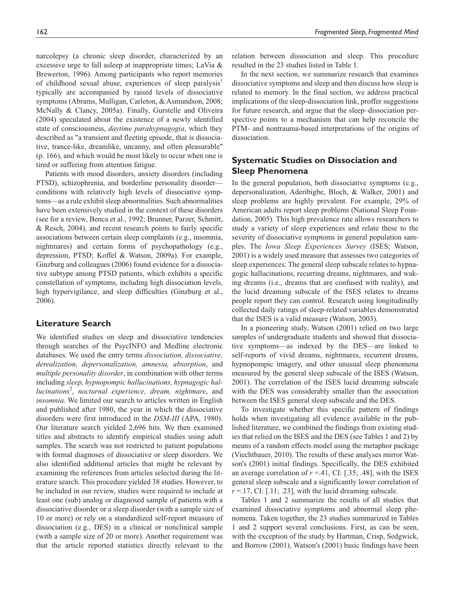narcolepsy (a chronic sleep disorder, characterized by an excessive urge to fall asleep at inappropriate times; LaVia & Brewerton, 1996). Among participants who report memories of childhood sexual abuse, experiences of sleep paralysis<sup>1</sup> typically are accompanied by raised levels of dissociative symptoms (Abrams, Mulligan, Carleton, & Asmundson, 2008; McNally & Clancy, 2005a). Finally, Gurstelle and Oliveira (2004) speculated about the existence of a newly identified state of consciousness, *daytime parahypnagogia*, which they described as "a transient and fleeting episode, that is dissociative, trance-like, dreamlike, uncanny, and often pleasurable" (p. 166), and which would be most likely to occur when one is tired or suffering from attention fatigue.

Patients with mood disorders, anxiety disorders (including PTSD), schizophrenia, and borderline personality disorder conditions with relatively high levels of dissociative symptoms—as a rule exhibit sleep abnormalities. Such abnormalities have been extensively studied in the context of these disorders (see for a review, Benca et al., 1992; Brunner, Parzer, Schmitt, & Resch, 2004), and recent research points to fairly specific associations between certain sleep complaints (e.g., insomnia, nightmares) and certain forms of psychopathology (e.g., depression, PTSD; Koffel & Watson, 2009a). For example, Ginzburg and colleagues (2006) found evidence for a dissociative subtype among PTSD patients, which exhibits a specific constellation of symptoms, including high dissociation levels, high hypervigilance, and sleep difficulties (Ginzburg et al., 2006).

### **Literature Search**

We identified studies on sleep and dissociative tendencies through searches of the PsycINFO and Medline electronic databases. We used the entry terms *dissociation, dissociative, derealization, depersonalization, amnesia, absorption*, and *multiple personality disorder*, in combination with other terms including *sleep, hypnopompic hallucinations, hypnagogic hallucinations*<sup>2</sup> , *nocturnal experience, dream, nightmare*, and *insomnia*. We limited our search to articles written in English and published after 1980, the year in which the dissociative disorders were first introduced in the *DSM-III* (APA, 1980). Our literature search yielded 2,696 hits. We then examined titles and abstracts to identify empirical studies using adult samples. The search was not restricted to patient populations with formal diagnoses of dissociative or sleep disorders. We also identified additional articles that might be relevant by examining the references from articles selected during the literature search. This procedure yielded 38 studies. However, to be included in our review, studies were required to include at least one (sub) analog or diagnosed sample of patients with a dissociative disorder or a sleep disorder (with a sample size of 10 or more) or rely on a standardized self-report measure of dissociation (e.g., DES) in a clinical or nonclinical sample (with a sample size of 20 or more). Another requirement was that the article reported statistics directly relevant to the

relation between dissociation and sleep. This procedure resulted in the 23 studies listed in Table 1.

In the next section, we summarize research that examines dissociative symptoms and sleep and then discuss how sleep is related to memory. In the final section, we address practical implications of the sleep-dissociation link, proffer suggestions for future research, and argue that the sleep–dissociation perspective points to a mechanism that can help reconcile the PTM- and nontrauma-based interpretations of the origins of dissociation.

## **Systematic Studies on Dissociation and Sleep Phenomena**

In the general population, both dissociative symptoms (e.g., depersonalization, Aderibigbe, Bloch, & Walker, 2001) and sleep problems are highly prevalent. For example, 29% of American adults report sleep problems (National Sleep Foundation, 2005). This high prevalence rate allows researchers to study a variety of sleep experiences and relate these to the severity of dissociative symptoms in general population samples. The *Iowa Sleep Experiences Survey* (ISES; Watson, 2001) is a widely used measure that assesses two categories of sleep experiences: The general sleep subscale relates to hypnagogic hallucinations, recurring dreams, nightmares, and waking dreams (i.e., dreams that are confused with reality), and the lucid dreaming subscale of the ISES relates to dreams people report they can control. Research using longitudinally collected daily ratings of sleep-related variables demonstrated that the ISES is a valid measure (Watson, 2003).

In a pioneering study, Watson (2001) relied on two large samples of undergraduate students and showed that dissociative symptoms—as indexed by the DES—are linked to self-reports of vivid dreams, nightmares, recurrent dreams, hypnopompic imagery, and other unusual sleep phenomena measured by the general sleep subscale of the ISES (Watson, 2001). The correlation of the ISES lucid dreaming subscale with the DES was considerably smaller than the association between the ISES general sleep subscale and the DES.

To investigate whether this specific pattern of findings holds when investigating all evidence available in the published literature, we combined the findings from existing studies that relied on the ISES and the DES (see Tables 1 and 2) by means of a random effects model using the metaphor package (Viechtbauer, 2010). The results of these analyses mirror Watson's (2001) initial findings. Specifically, the DES exhibited an average correlation of  $r = .41$ , CI: [.35; .48], with the ISES general sleep subscale and a significantly lower correlation of  $r = 17$ , CI: [.11; .23], with the lucid dreaming subscale.

Tables 1 and 2 summarize the results of all studies that examined dissociative symptoms and abnormal sleep phenomena. Taken together, the 23 studies summarized in Tables 1 and 2 support several conclusions. First, as can be seen, with the exception of the study by Hartman, Crisp, Sedgwick, and Borrow (2001), Watson's (2001) basic findings have been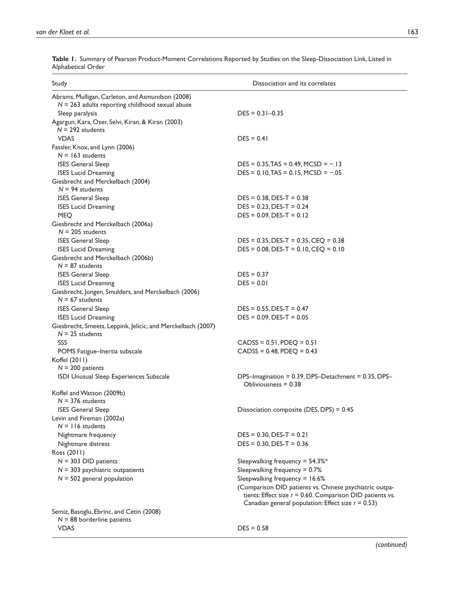| Study                                                                                                 | Dissociation and its correlates                                                                                                                                                            |
|-------------------------------------------------------------------------------------------------------|--------------------------------------------------------------------------------------------------------------------------------------------------------------------------------------------|
| Abrams, Mulligan, Carleton, and Asmundson (2008)<br>$N = 263$ adults reporting childhood sexual abuse |                                                                                                                                                                                            |
| Sleep paralysis<br>Agargun, Kara, Ozer, Selvi, Kiran, & Kiran (2003)                                  | $DES = 0.31 - 0.35$                                                                                                                                                                        |
| $N = 292$ students<br><b>VDAS</b>                                                                     | $DES = 0.41$                                                                                                                                                                               |
| Fassler, Knox, and Lynn (2006)<br>$N = 163$ students                                                  |                                                                                                                                                                                            |
| <b>ISES General Sleep</b><br><b>ISES Lucid Dreaming</b>                                               | $DES = 0.35$ , TAS = 0.49, MCSD = $-.13$<br>$DES = 0.10, TAS = 0.15, MCSD = -.05$                                                                                                          |
| Giesbrecht and Merckelbach (2004)<br>$N = 94$ students                                                |                                                                                                                                                                                            |
| <b>ISES General Sleep</b><br><b>ISES Lucid Dreaming</b><br><b>MEQ</b>                                 | $DES = 0.38$ , $DES-T = 0.38$<br>$DES = 0.23$ , $DES-T = 0.24$<br>$DES = 0.09$ , $DES-T = 0.12$                                                                                            |
| Giesbrecht and Merckelbach (2006a)<br>$N = 205$ students                                              |                                                                                                                                                                                            |
| <b>ISES General Sleep</b><br><b>ISES Lucid Dreaming</b>                                               | $DES = 0.35$ , $DES-T = 0.35$ , $CEQ = 0.38$<br>$DES = 0.08$ , $DES-T = 0.10$ , $CEQ = 0.10$                                                                                               |
| Giesbrecht and Merckelbach (2006b)<br>$N = 87$ students                                               |                                                                                                                                                                                            |
| <b>ISES General Sleep</b><br><b>ISES Lucid Dreaming</b>                                               | $DES = 0.37$<br>$DES = 0.01$                                                                                                                                                               |
| Giesbrecht, Jongen, Smulders, and Merckelbach (2006)<br>$N = 67$ students                             |                                                                                                                                                                                            |
| <b>ISES General Sleep</b><br><b>ISES Lucid Dreaming</b>                                               | $DES = 0.55$ , $DES - T = 0.47$<br>$DES = 0.09$ , $DES-T = 0.05$                                                                                                                           |
| Giesbrecht, Smeets, Leppink, Jelicic, and Merckelbach (2007)<br>$N = 25$ students                     |                                                                                                                                                                                            |
| SSS<br>POMS Fatigue-Inertia subscale                                                                  | $CADS = 0.51, PDEQ = 0.51$<br>$CADS = 0.48, PDEQ = 0.43$                                                                                                                                   |
| Koffel (2011)<br>$N = 200$ patients                                                                   |                                                                                                                                                                                            |
| ISDI Unusual Sleep Experiences Subscale                                                               | DPS-Imagination = 0.39, DPS-Detachment = 0.35, DPS-<br>Obliviousness $= 0.38$                                                                                                              |
| Koffel and Watson (2009b)<br>$N = 376$ students                                                       |                                                                                                                                                                                            |
| <b>ISES General Sleep</b><br>Levin and Fireman (2002a)<br>$N = 116$ students                          | Dissociation composite (DES, DPS) = 0.45                                                                                                                                                   |
| Nightmare frequency<br>Nightmare distress                                                             | $DES = 0.30, DES-T = 0.21$<br>$DES = 0.30$ , $DES-T = 0.36$                                                                                                                                |
| Ross (2011)<br>$N = 303$ DID patients                                                                 | Sleepwalking frequency = $54.3\%$ *                                                                                                                                                        |
| $N = 303$ psychiatric outpatients<br>$N = 502$ general population                                     | Sleepwalking frequency = 0.7%<br>Sleepwalking frequency = 16.6%<br>(Comparison DID patients vs. Chinese psychiatric outpa-<br>tients: Effect size $r = 0.60$ . Comparison DID patients vs. |
| Semiz, Basoglu, Ebrinc, and Cetin (2008)                                                              | Canadian general population: Effect size $r = 0.53$ )                                                                                                                                      |
| $N = 88$ borderline patients<br><b>VDAS</b>                                                           | $DES = 0.58$                                                                                                                                                                               |

**Table 1.** Summary of Pearson Product-Moment Correlations Reported by Studies on the Sleep-Dissociation Link, Listed in Alphabetical Order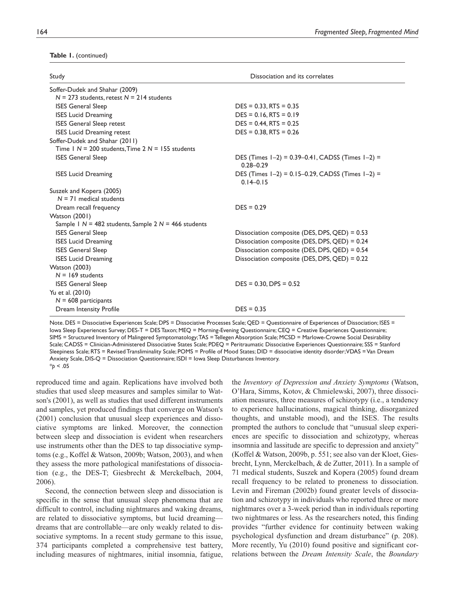#### **Table 1.** (continued)

| Study                                                    | Dissociation and its correlates                                         |  |
|----------------------------------------------------------|-------------------------------------------------------------------------|--|
| Soffer-Dudek and Shahar (2009)                           |                                                                         |  |
| $N = 273$ students, retest $N = 214$ students            |                                                                         |  |
| <b>ISES General Sleep</b>                                | $DES = 0.33, RTS = 0.35$                                                |  |
| <b>ISES Lucid Dreaming</b>                               | $DES = 0.16, RTS = 0.19$                                                |  |
| <b>ISES General Sleep retest</b>                         | $DES = 0.44$ , RTS = 0.25                                               |  |
| <b>ISES Lucid Dreaming retest</b>                        | $DES = 0.38, RTS = 0.26$                                                |  |
| Soffer-Dudek and Shahar (2011)                           |                                                                         |  |
| Time $1 N = 200$ students. Time $2 N = 155$ students     |                                                                         |  |
| <b>ISES General Sleep</b>                                | DES (Times $1-2$ ) = 0.39-0.41, CADSS (Times $1-2$ ) =<br>$0.28 - 0.29$ |  |
| <b>ISES Lucid Dreaming</b>                               | DES (Times $1-2$ ) = 0.15-0.29, CADSS (Times $1-2$ ) =<br>$0.14 - 0.15$ |  |
| Suszek and Kopera (2005)                                 |                                                                         |  |
| $N = 71$ medical students                                |                                                                         |  |
| Dream recall frequency                                   | $DES = 0.29$                                                            |  |
| Watson (2001)                                            |                                                                         |  |
| Sample 1 $N = 482$ students, Sample 2 $N = 466$ students |                                                                         |  |
| <b>ISES General Sleep</b>                                | Dissociation composite (DES, DPS, QED) = 0.53                           |  |
| <b>ISES Lucid Dreaming</b>                               | Dissociation composite (DES, DPS, QED) = 0.24                           |  |
| <b>ISES General Sleep</b>                                | Dissociation composite (DES, DPS, QED) = 0.54                           |  |
| <b>ISES Lucid Dreaming</b>                               | Dissociation composite (DES, DPS, QED) = 0.22                           |  |
| <b>Watson (2003)</b>                                     |                                                                         |  |
| $N = 169$ students                                       |                                                                         |  |
| <b>ISES General Sleep</b>                                | $DES = 0.30$ , $DPS = 0.52$                                             |  |
| Yu et al. (2010)                                         |                                                                         |  |
| $N = 608$ participants                                   |                                                                         |  |
| Dream Intensity Profile                                  | $DES = 0.35$                                                            |  |

Note. DES = Dissociative Experiences Scale; DPS = Dissociative Processes Scale; QED = Questionnaire of Experiences of Dissociation; ISES = Iowa Sleep Experiences Survey; DES-T = DES Taxon; MEQ = Morning-Evening Questionnaire; CEQ = Creative Experiences Questionnaire; SIMS = Structured Inventory of Malingered Symptomatology; TAS = Tellegen Absorption Scale; MCSD = Marlowe-Crowne Social Desirability Scale; CADSS = Clinician-Administered Dissociative States Scale; PDEQ = Peritraumatic Dissociative Experiences Questionnaire; SSS = Stanford Sleepiness Scale; RTS = Revised Transliminality Scale; POMS = Profile of Mood States; DID = dissociative identity disorder; VDAS = Van Dream Anxiety Scale, DIS-Q = Dissociation Questionnaire; ISDI = Iowa Sleep Disturbances Inventory. \**p* < .05

reproduced time and again. Replications have involved both studies that used sleep measures and samples similar to Watson's (2001), as well as studies that used different instruments and samples, yet produced findings that converge on Watson's (2001) conclusion that unusual sleep experiences and dissociative symptoms are linked. Moreover, the connection between sleep and dissociation is evident when researchers use instruments other than the DES to tap dissociative symptoms (e.g., Koffel & Watson, 2009b; Watson, 2003), and when they assess the more pathological manifestations of dissociation (e.g., the DES-T; Giesbrecht & Merckelbach, 2004, 2006).

Second, the connection between sleep and dissociation is specific in the sense that unusual sleep phenomena that are difficult to control, including nightmares and waking dreams, are related to dissociative symptoms, but lucid dreaming dreams that are controllable—are only weakly related to dissociative symptoms. In a recent study germane to this issue, 374 participants completed a comprehensive test battery, including measures of nightmares, initial insomnia, fatigue,

the *Inventory of Depression and Anxiety Symptoms* (Watson, O'Hara, Simms, Kotov, & Chmielewski, 2007), three dissociation measures, three measures of schizotypy (i.e., a tendency to experience hallucinations, magical thinking, disorganized thoughts, and unstable mood), and the ISES. The results prompted the authors to conclude that "unusual sleep experiences are specific to dissociation and schizotypy, whereas insomnia and lassitude are specific to depression and anxiety" (Koffel & Watson, 2009b, p. 551; see also van der Kloet, Giesbrecht, Lynn, Merckelbach, & de Zutter, 2011). In a sample of 71 medical students, Suszek and Kopera (2005) found dream recall frequency to be related to proneness to dissociation. Levin and Fireman (2002b) found greater levels of dissociation and schizotypy in individuals who reported three or more nightmares over a 3-week period than in individuals reporting two nightmares or less. As the researchers noted, this finding provides "further evidence for continuity between waking psychological dysfunction and dream disturbance" (p. 208). More recently, Yu (2010) found positive and significant correlations between the *Dream Intensity Scale*, the *Boundary*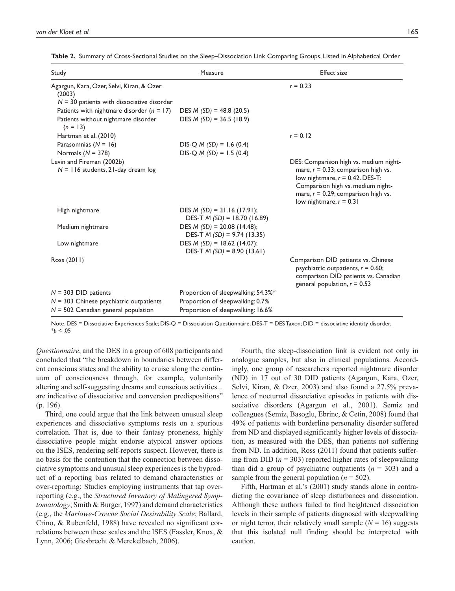| Study                                                                                               | Measure                                                       | <b>Effect size</b>                                                                                                                                                                       |
|-----------------------------------------------------------------------------------------------------|---------------------------------------------------------------|------------------------------------------------------------------------------------------------------------------------------------------------------------------------------------------|
| Agargun, Kara, Ozer, Selvi, Kiran, & Ozer<br>(2003)<br>$N = 30$ patients with dissociative disorder |                                                               | $r = 0.23$                                                                                                                                                                               |
| Patients with nightmare disorder $(n = 17)$                                                         | DES $M(SD) = 48.8(20.5)$                                      |                                                                                                                                                                                          |
| Patients without nightmare disorder<br>$(n = 13)$                                                   | DES $M(SD) = 36.5(18.9)$                                      |                                                                                                                                                                                          |
| Hartman et al. (2010)                                                                               |                                                               | $r = 0.12$                                                                                                                                                                               |
| Parasomnias $(N = 16)$                                                                              | $DIS-Q M (SD) = 1.6 (0.4)$                                    |                                                                                                                                                                                          |
| Normals $(N = 378)$                                                                                 | $DIS-Q M (SD) = 1.5 (0.4)$                                    |                                                                                                                                                                                          |
| Levin and Fireman (2002b)                                                                           |                                                               | DES: Comparison high vs. medium night-                                                                                                                                                   |
| $N = 116$ students, 21-day dream $log$                                                              |                                                               | mare, $r = 0.33$ ; comparison high vs.<br>low nightmare, $r = 0.42$ . DES-T:<br>Comparison high vs. medium night-<br>mare, $r = 0.29$ ; comparison high vs.<br>low nightmare, $r = 0.31$ |
| High nightmare                                                                                      | DES $M(SD) = 31.16 (17.91);$<br>DES-T $M(SD) = 18.70$ (16.89) |                                                                                                                                                                                          |
| Medium nightmare                                                                                    | DES $M(SD) = 20.08$ (14.48);<br>DES-T $M(SD) = 9.74$ (13.35)  |                                                                                                                                                                                          |
| Low nightmare                                                                                       | DES $M(SD) = 18.62$ (14.07);<br>DES-T $M(SD) = 8.90$ (13.61)  |                                                                                                                                                                                          |
| Ross (2011)                                                                                         |                                                               | Comparison DID patients vs. Chinese<br>psychiatric outpatients, $r = 0.60$ ;<br>comparison DID patients vs. Canadian<br>general population, $r = 0.53$                                   |
| $N = 303$ DID patients                                                                              | Proportion of sleepwalking: 54.3%*                            |                                                                                                                                                                                          |
| $N = 303$ Chinese psychiatric outpatients                                                           | Proportion of sleepwalking: 0.7%                              |                                                                                                                                                                                          |
| $N = 502$ Canadian general population                                                               | Proportion of sleepwalking: 16.6%                             |                                                                                                                                                                                          |

**Table 2.** Summary of Cross-Sectional Studies on the Sleep–Dissociation Link Comparing Groups, Listed in Alphabetical Order

Note. DES = Dissociative Experiences Scale; DIS-Q = Dissociation Questionnaire; DES-T = DES Taxon; DID = dissociative identity disorder. \**p* < .05

*Questionnaire*, and the DES in a group of 608 participants and concluded that "the breakdown in boundaries between different conscious states and the ability to cruise along the continuum of consciousness through, for example, voluntarily altering and self-suggesting dreams and conscious activities... are indicative of dissociative and conversion predispositions" (p. 196).

Third, one could argue that the link between unusual sleep experiences and dissociative symptoms rests on a spurious correlation. That is, due to their fantasy proneness, highly dissociative people might endorse atypical answer options on the ISES, rendering self-reports suspect. However, there is no basis for the contention that the connection between dissociative symptoms and unusual sleep experiences is the byproduct of a reporting bias related to demand characteristics or over-reporting: Studies employing instruments that tap overreporting (e.g., the *Structured Inventory of Malingered Symptomatology*; Smith & Burger, 1997) and demand characteristics (e.g., the *Marlowe-Crowne Social Desirability Scale*; Ballard, Crino, & Rubenfeld, 1988) have revealed no significant correlations between these scales and the ISES (Fassler, Knox, & Lynn, 2006; Giesbrecht & Merckelbach, 2006).

Fourth, the sleep-dissociation link is evident not only in analogue samples, but also in clinical populations. Accordingly, one group of researchers reported nightmare disorder (ND) in 17 out of 30 DID patients (Agargun, Kara, Ozer, Selvi, Kiran, & Ozer, 2003) and also found a 27.5% prevalence of nocturnal dissociative episodes in patients with dissociative disorders (Agargun et al., 2001). Semiz and colleagues (Semiz, Basoglu, Ebrinc, & Cetin, 2008) found that 49% of patients with borderline personality disorder suffered from ND and displayed significantly higher levels of dissociation, as measured with the DES, than patients not suffering from ND. In addition, Ross (2011) found that patients suffering from DID  $(n = 303)$  reported higher rates of sleepwalking than did a group of psychiatric outpatients  $(n = 303)$  and a sample from the general population  $(n = 502)$ .

Fifth, Hartman et al.'s (2001) study stands alone in contradicting the covariance of sleep disturbances and dissociation. Although these authors failed to find heightened dissociation levels in their sample of patients diagnosed with sleepwalking or night terror, their relatively small sample  $(N = 16)$  suggests that this isolated null finding should be interpreted with caution.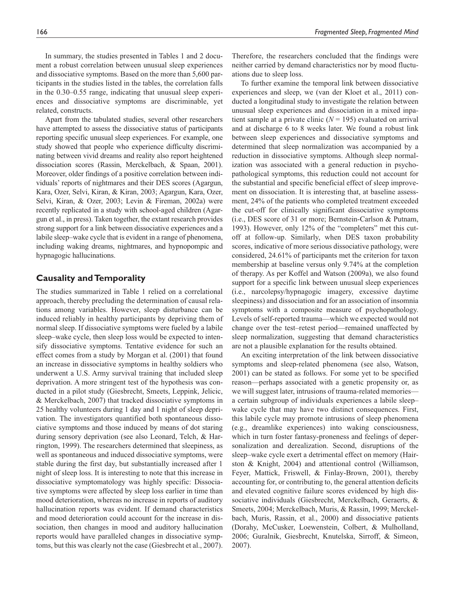In summary, the studies presented in Tables 1 and 2 document a robust correlation between unusual sleep experiences and dissociative symptoms. Based on the more than 5,600 participants in the studies listed in the tables, the correlation falls in the 0.30–0.55 range, indicating that unusual sleep experiences and dissociative symptoms are discriminable, yet related, constructs.

Apart from the tabulated studies, several other researchers have attempted to assess the dissociative status of participants reporting specific unusual sleep experiences. For example, one study showed that people who experience difficulty discriminating between vivid dreams and reality also report heightened dissociation scores (Rassin, Merckelbach, & Spaan, 2001). Moreover, older findings of a positive correlation between individuals' reports of nightmares and their DES scores (Agargun, Kara, Ozer, Selvi, Kiran, & Kiran, 2003; Agargun, Kara, Ozer, Selvi, Kiran, & Ozer, 2003; Levin & Fireman, 2002a) were recently replicated in a study with school-aged children (Agargun et al., in press). Taken together, the extant research provides strong support for a link between dissociative experiences and a labile sleep–wake cycle that is evident in a range of phenomena, including waking dreams, nightmares, and hypnopompic and hypnagogic hallucinations.

## **Causality and Temporality**

The studies summarized in Table 1 relied on a correlational approach, thereby precluding the determination of causal relations among variables. However, sleep disturbance can be induced reliably in healthy participants by depriving them of normal sleep. If dissociative symptoms were fueled by a labile sleep–wake cycle, then sleep loss would be expected to intensify dissociative symptoms. Tentative evidence for such an effect comes from a study by Morgan et al. (2001) that found an increase in dissociative symptoms in healthy soldiers who underwent a U.S. Army survival training that included sleep deprivation. A more stringent test of the hypothesis was conducted in a pilot study (Giesbrecht, Smeets, Leppink, Jelicic, & Merckelbach, 2007) that tracked dissociative symptoms in 25 healthy volunteers during 1 day and 1 night of sleep deprivation. The investigators quantified both spontaneous dissociative symptoms and those induced by means of dot staring during sensory deprivation (see also Leonard, Telch, & Harrington, 1999). The researchers determined that sleepiness, as well as spontaneous and induced dissociative symptoms, were stable during the first day, but substantially increased after 1 night of sleep loss. It is interesting to note that this increase in dissociative symptomatology was highly specific: Dissociative symptoms were affected by sleep loss earlier in time than mood deterioration, whereas no increase in reports of auditory hallucination reports was evident. If demand characteristics and mood deterioration could account for the increase in dissociation, then changes in mood and auditory hallucination reports would have paralleled changes in dissociative symptoms, but this was clearly not the case (Giesbrecht et al., 2007).

Therefore, the researchers concluded that the findings were neither carried by demand characteristics nor by mood fluctuations due to sleep loss.

To further examine the temporal link between dissociative experiences and sleep, we (van der Kloet et al., 2011) conducted a longitudinal study to investigate the relation between unusual sleep experiences and dissociation in a mixed inpatient sample at a private clinic  $(N = 195)$  evaluated on arrival and at discharge 6 to 8 weeks later. We found a robust link between sleep experiences and dissociative symptoms and determined that sleep normalization was accompanied by a reduction in dissociative symptoms. Although sleep normalization was associated with a general reduction in psychopathological symptoms, this reduction could not account for the substantial and specific beneficial effect of sleep improvement on dissociation. It is interesting that, at baseline assessment, 24% of the patients who completed treatment exceeded the cut-off for clinically significant dissociative symptoms (i.e., DES score of 31 or more; Bernstein-Carlson & Putnam, 1993). However, only 12% of the "completers" met this cutoff at follow-up. Similarly, when DES taxon probability scores, indicative of more serious dissociative pathology, were considered, 24.61% of participants met the criterion for taxon membership at baseline versus only 9.74% at the completion of therapy. As per Koffel and Watson (2009a), we also found support for a specific link between unusual sleep experiences (i.e., narcolepsy/hypnagogic imagery, excessive daytime sleepiness) and dissociation and for an association of insomnia symptoms with a composite measure of psychopathology. Levels of self-reported trauma—which we expected would not change over the test–retest period—remained unaffected by sleep normalization, suggesting that demand characteristics are not a plausible explanation for the results obtained.

An exciting interpretation of the link between dissociative symptoms and sleep-related phenomena (see also, Watson, 2001) can be stated as follows. For some yet to be specified reason—perhaps associated with a genetic propensity or, as we will suggest later, intrusions of trauma-related memories a certain subgroup of individuals experiences a labile sleep– wake cycle that may have two distinct consequences. First, this labile cycle may promote intrusions of sleep phenomena (e.g., dreamlike experiences) into waking consciousness, which in turn foster fantasy-proneness and feelings of depersonalization and derealization. Second, disruptions of the sleep–wake cycle exert a detrimental effect on memory (Hairston & Knight, 2004) and attentional control (Williamson, Feyer, Mattick, Friswell, & Finlay-Brown, 2001), thereby accounting for, or contributing to, the general attention deficits and elevated cognitive failure scores evidenced by high dissociative individuals (Giesbrecht, Merckelbach, Geraerts, & Smeets, 2004; Merckelbach, Muris, & Rassin, 1999; Merckelbach, Muris, Rassin, et al., 2000) and dissociative patients (Dorahy, McCusker, Loewenstein, Colbert, & Mulholland, 2006; Guralnik, Giesbrecht, Knutelska, Sirroff, & Simeon, 2007).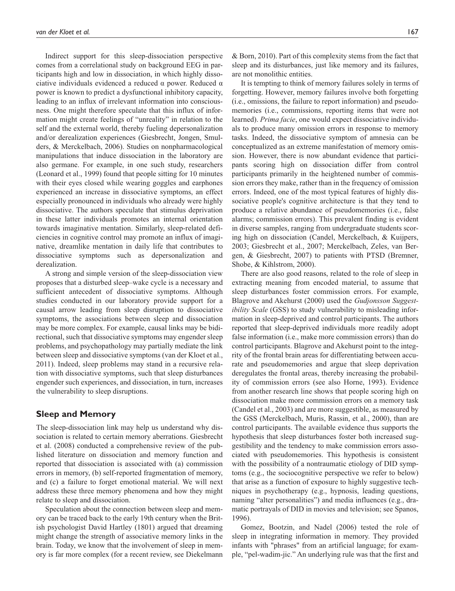Indirect support for this sleep-dissociation perspective comes from a correlational study on background EEG in participants high and low in dissociation, in which highly dissociative individuals evidenced a reduced α power. Reduced α power is known to predict a dysfunctional inhibitory capacity, leading to an influx of irrelevant information into consciousness. One might therefore speculate that this influx of information might create feelings of "unreality" in relation to the self and the external world, thereby fueling depersonalization and/or derealization experiences (Giesbrecht, Jongen, Smulders, & Merckelbach, 2006). Studies on nonpharmacological manipulations that induce dissociation in the laboratory are also germane. For example, in one such study, researchers (Leonard et al., 1999) found that people sitting for 10 minutes with their eyes closed while wearing goggles and earphones experienced an increase in dissociative symptoms, an effect especially pronounced in individuals who already were highly dissociative. The authors speculate that stimulus deprivation in these latter individuals promotes an internal orientation towards imaginative mentation. Similarly, sleep-related deficiencies in cognitive control may promote an influx of imaginative, dreamlike mentation in daily life that contributes to dissociative symptoms such as depersonalization and derealization.

A strong and simple version of the sleep-dissociation view proposes that a disturbed sleep–wake cycle is a necessary and sufficient antecedent of dissociative symptoms. Although studies conducted in our laboratory provide support for a causal arrow leading from sleep disruption to dissociative symptoms, the associations between sleep and dissociation may be more complex. For example, causal links may be bidirectional, such that dissociative symptoms may engender sleep problems, and psychopathology may partially mediate the link between sleep and dissociative symptoms (van der Kloet et al., 2011). Indeed, sleep problems may stand in a recursive relation with dissociative symptoms, such that sleep disturbances engender such experiences, and dissociation, in turn, increases the vulnerability to sleep disruptions.

## **Sleep and Memory**

The sleep-dissociation link may help us understand why dissociation is related to certain memory aberrations. Giesbrecht et al. (2008) conducted a comprehensive review of the published literature on dissociation and memory function and reported that dissociation is associated with (a) commission errors in memory, (b) self-reported fragmentation of memory, and (c) a failure to forget emotional material. We will next address these three memory phenomena and how they might relate to sleep and dissociation.

Speculation about the connection between sleep and memory can be traced back to the early 19th century when the British psychologist David Hartley (1801) argued that dreaming might change the strength of associative memory links in the brain. Today, we know that the involvement of sleep in memory is far more complex (for a recent review, see Diekelmann

& Born, 2010). Part of this complexity stems from the fact that sleep and its disturbances, just like memory and its failures, are not monolithic entities.

It is tempting to think of memory failures solely in terms of forgetting. However, memory failures involve both forgetting (i.e., omissions, the failure to report information) and pseudomemories (i.e., commissions, reporting items that were not learned). *Prima facie*, one would expect dissociative individuals to produce many omission errors in response to memory tasks. Indeed, the dissociative symptom of amnesia can be conceptualized as an extreme manifestation of memory omission. However, there is now abundant evidence that participants scoring high on dissociation differ from control participants primarily in the heightened number of commission errors they make, rather than in the frequency of omission errors. Indeed, one of the most typical features of highly dissociative people's cognitive architecture is that they tend to produce a relative abundance of pseudomemories (i.e., false alarms; commission errors). This prevalent finding is evident in diverse samples, ranging from undergraduate students scoring high on dissociation (Candel, Merckelbach, & Kuijpers, 2003; Giesbrecht et al., 2007; Merckelbach, Zeles, van Bergen, & Giesbrecht, 2007) to patients with PTSD (Bremner, Shobe, & Kihlstrom, 2000).

There are also good reasons, related to the role of sleep in extracting meaning from encoded material, to assume that sleep disturbances foster commission errors. For example, Blagrove and Akehurst (2000) used the *Gudjonsson Suggestibility Scale* (GSS) to study vulnerability to misleading information in sleep-deprived and control participants. The authors reported that sleep-deprived individuals more readily adopt false information (i.e., make more commission errors) than do control participants. Blagrove and Akehurst point to the integrity of the frontal brain areas for differentiating between accurate and pseudomemories and argue that sleep deprivation deregulates the frontal areas, thereby increasing the probability of commission errors (see also Horne, 1993). Evidence from another research line shows that people scoring high on dissociation make more commission errors on a memory task (Candel et al., 2003) and are more suggestible, as measured by the GSS (Merckelbach, Muris, Rassin, et al., 2000), than are control participants. The available evidence thus supports the hypothesis that sleep disturbances foster both increased suggestibility and the tendency to make commission errors associated with pseudomemories. This hypothesis is consistent with the possibility of a nontraumatic etiology of DID symptoms (e.g., the sociocognitive perspective we refer to below) that arise as a function of exposure to highly suggestive techniques in psychotherapy (e.g., hypnosis, leading questions, naming "alter personalities") and media influences (e.g., dramatic portrayals of DID in movies and television; see Spanos, 1996).

Gomez, Bootzin, and Nadel (2006) tested the role of sleep in integrating information in memory. They provided infants with "phrases" from an artificial language; for example, "pel-wadim-jic." An underlying rule was that the first and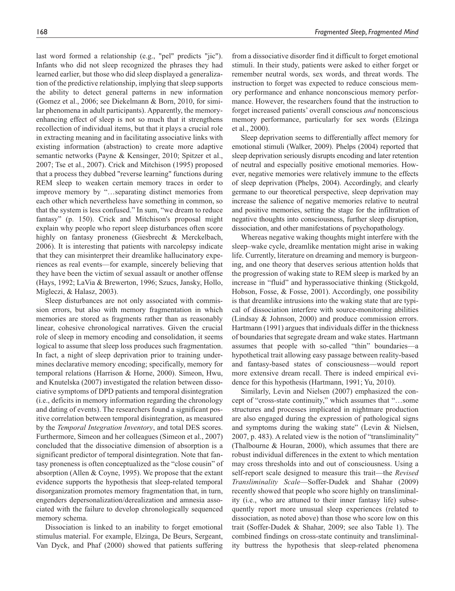last word formed a relationship (e.g., "pel" predicts "jic"). Infants who did not sleep recognized the phrases they had learned earlier, but those who did sleep displayed a generalization of the predictive relationship, implying that sleep supports the ability to detect general patterns in new information (Gomez et al., 2006; see Diekelmann & Born, 2010, for similar phenomena in adult participants). Apparently, the memoryenhancing effect of sleep is not so much that it strengthens recollection of individual items, but that it plays a crucial role in extracting meaning and in facilitating associative links with existing information (abstraction) to create more adaptive semantic networks (Payne & Kensinger, 2010; Spitzer et al., 2007; Tse et al., 2007). Crick and Mitchison (1995) proposed that a process they dubbed "reverse learning" functions during REM sleep to weaken certain memory traces in order to improve memory by "…separating distinct memories from each other which nevertheless have something in common, so that the system is less confused." In sum, "we dream to reduce fantasy" (p. 150). Crick and Mitchison's proposal might explain why people who report sleep disturbances often score highly on fantasy proneness (Giesbrecht & Merckelbach, 2006). It is interesting that patients with narcolepsy indicate that they can misinterpret their dreamlike hallucinatory experiences as real events—for example, sincerely believing that they have been the victim of sexual assault or another offense (Hays, 1992; LaVia & Brewerton, 1996; Szucs, Jansky, Hollo, Migleczi, & Halasz, 2003).

Sleep disturbances are not only associated with commission errors, but also with memory fragmentation in which memories are stored as fragments rather than as reasonably linear, cohesive chronological narratives. Given the crucial role of sleep in memory encoding and consolidation, it seems logical to assume that sleep loss produces such fragmentation. In fact, a night of sleep deprivation prior to training undermines declarative memory encoding; specifically, memory for temporal relations (Harrison & Horne, 2000). Simeon, Hwu, and Knutelska (2007) investigated the relation between dissociative symptoms of DPD patients and temporal disintegration (i.e., deficits in memory information regarding the chronology and dating of events). The researchers found a significant positive correlation between temporal disintegration, as measured by the *Temporal Integration Inventory*, and total DES scores. Furthermore, Simeon and her colleagues (Simeon et al., 2007) concluded that the dissociative dimension of absorption is a significant predictor of temporal disintegration. Note that fantasy proneness is often conceptualized as the "close cousin" of absorption (Allen & Coyne, 1995). We propose that the extant evidence supports the hypothesis that sleep-related temporal disorganization promotes memory fragmentation that, in turn, engenders depersonalization/derealization and amnesia associated with the failure to develop chronologically sequenced memory schema.

Dissociation is linked to an inability to forget emotional stimulus material. For example, Elzinga, De Beurs, Sergeant, Van Dyck, and Phaf (2000) showed that patients suffering

from a dissociative disorder find it difficult to forget emotional stimuli. In their study, patients were asked to either forget or remember neutral words, sex words, and threat words. The instruction to forget was expected to reduce conscious memory performance and enhance nonconscious memory performance. However, the researchers found that the instruction to forget increased patients' overall conscious *and* nonconscious memory performance, particularly for sex words (Elzinga et al., 2000).

Sleep deprivation seems to differentially affect memory for emotional stimuli (Walker, 2009). Phelps (2004) reported that sleep deprivation seriously disrupts encoding and later retention of neutral and especially positive emotional memories. However, negative memories were relatively immune to the effects of sleep deprivation (Phelps, 2004). Accordingly, and clearly germane to our theoretical perspective, sleep deprivation may increase the salience of negative memories relative to neutral and positive memories, setting the stage for the infiltration of negative thoughts into consciousness, further sleep disruption, dissociation, and other manifestations of psychopathology.

Whereas negative waking thoughts might interfere with the sleep–wake cycle, dreamlike mentation might arise in waking life. Currently, literature on dreaming and memory is burgeoning, and one theory that deserves serious attention holds that the progression of waking state to REM sleep is marked by an increase in "fluid" and hyperassociative thinking (Stickgold, Hobson, Fosse, & Fosse, 2001). Accordingly, one possibility is that dreamlike intrusions into the waking state that are typical of dissociation interfere with source-monitoring abilities (Lindsay & Johnson, 2000) and produce commission errors. Hartmann (1991) argues that individuals differ in the thickness of boundaries that segregate dream and wake states. Hartmann assumes that people with so-called "thin" boundaries—a hypothetical trait allowing easy passage between reality-based and fantasy-based states of consciousness—would report more extensive dream recall. There is indeed empirical evidence for this hypothesis (Hartmann, 1991; Yu, 2010).

Similarly, Levin and Nielsen (2007) emphasized the concept of "cross-state continuity," which assumes that "…some structures and processes implicated in nightmare production are also engaged during the expression of pathological signs and symptoms during the waking state" (Levin & Nielsen, 2007, p. 483). A related view is the notion of "transliminality" (Thalbourne & Houran, 2000), which assumes that there are robust individual differences in the extent to which mentation may cross thresholds into and out of consciousness. Using a self-report scale designed to measure this trait—the *Revised Transliminality Scale*—Soffer-Dudek and Shahar (2009) recently showed that people who score highly on transliminality (i.e., who are attuned to their inner fantasy life) subsequently report more unusual sleep experiences (related to dissociation, as noted above) than those who score low on this trait (Soffer-Dudek & Shahar, 2009; see also Table 1). The combined findings on cross-state continuity and transliminality buttress the hypothesis that sleep-related phenomena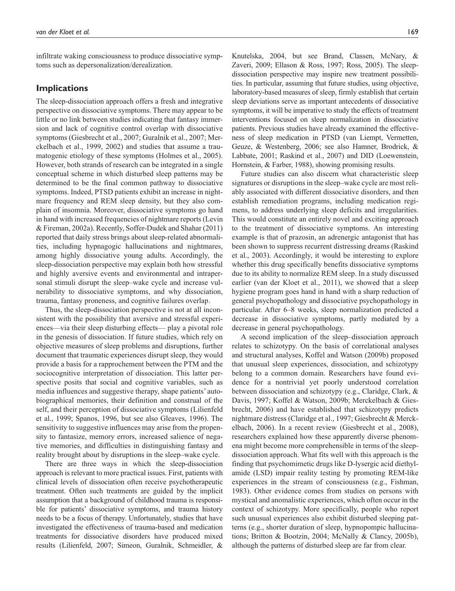infiltrate waking consciousness to produce dissociative symptoms such as depersonalization/derealization.

## **Implications**

The sleep-dissociation approach offers a fresh and integrative perspective on dissociative symptoms. There may appear to be little or no link between studies indicating that fantasy immersion and lack of cognitive control overlap with dissociative symptoms (Giesbrecht et al., 2007; Guralnik et al., 2007; Merckelbach et al., 1999, 2002) and studies that assume a traumatogenic etiology of these symptoms (Holmes et al., 2005). However, both strands of research can be integrated in a single conceptual scheme in which disturbed sleep patterns may be determined to be the final common pathway to dissociative symptoms. Indeed, PTSD patients exhibit an increase in nightmare frequency and REM sleep density, but they also complain of insomnia. Moreover, dissociative symptoms go hand in hand with increased frequencies of nightmare reports (Levin & Fireman, 2002a). Recently, Soffer-Dudek and Shahar (2011) reported that daily stress brings about sleep-related abnormalities, including hypnagogic hallucinations and nightmares, among highly dissociative young adults. Accordingly, the sleep-dissociation perspective may explain both how stressful and highly aversive events and environmental and intrapersonal stimuli disrupt the sleep–wake cycle and increase vulnerability to dissociative symptoms, and why dissociation, trauma, fantasy proneness, and cognitive failures overlap.

Thus, the sleep-dissociation perspective is not at all inconsistent with the possibility that aversive and stressful experiences—via their sleep disturbing effects— play a pivotal role in the genesis of dissociation. If future studies, which rely on objective measures of sleep problems and disruptions, further document that traumatic experiences disrupt sleep, they would provide a basis for a rapprochement between the PTM and the sociocognitive interpretation of dissociation. This latter perspective posits that social and cognitive variables, such as media influences and suggestive therapy, shape patients' autobiographical memories, their definition and construal of the self, and their perception of dissociative symptoms (Lilienfeld et al., 1999; Spanos, 1996, but see also Gleaves, 1996). The sensitivity to suggestive influences may arise from the propensity to fantasize, memory errors, increased salience of negative memories, and difficulties in distinguishing fantasy and reality brought about by disruptions in the sleep–wake cycle.

There are three ways in which the sleep-dissociation approach is relevant to more practical issues. First, patients with clinical levels of dissociation often receive psychotherapeutic treatment. Often such treatments are guided by the implicit assumption that a background of childhood trauma is responsible for patients' dissociative symptoms, and trauma history needs to be a focus of therapy. Unfortunately, studies that have investigated the effectiveness of trauma-based and medication treatments for dissociative disorders have produced mixed results (Lilienfeld, 2007; Simeon, Guralnik, Schmeidler, &

Knutelska, 2004, but see Brand, Classen, McNary, & Zaveri, 2009; Ellason & Ross, 1997; Ross, 2005). The sleepdissociation perspective may inspire new treatment possibilities. In particular, assuming that future studies, using objective, laboratory-based measures of sleep, firmly establish that certain sleep deviations serve as important antecedents of dissociative symptoms, it will be imperative to study the effects of treatment interventions focused on sleep normalization in dissociative patients. Previous studies have already examined the effectiveness of sleep medication in PTSD (van Liempt, Vermetten, Geuze, & Westenberg, 2006; see also Hamner, Brodrick, & Labbate, 2001; Raskind et al., 2007) and DID (Loewenstein, Hornstein, & Farber, 1988), showing promising results.

Future studies can also discern what characteristic sleep signatures or disruptions in the sleep–wake cycle are most reliably associated with different dissociative disorders, and then establish remediation programs, including medication regimens, to address underlying sleep deficits and irregularities. This would constitute an entirely novel and exciting approach to the treatment of dissociative symptoms. An interesting example is that of prazosin, an adrenergic antagonist that has been shown to suppress recurrent distressing dreams (Raskind et al., 2003). Accordingly, it would be interesting to explore whether this drug specifically benefits dissociative symptoms due to its ability to normalize REM sleep. In a study discussed earlier (van der Kloet et al., 2011), we showed that a sleep hygiene program goes hand in hand with a sharp reduction of general psychopathology and dissociative psychopathology in particular. After 6–8 weeks, sleep normalization predicted a decrease in dissociative symptoms, partly mediated by a decrease in general psychopathology.

A second implication of the sleep–dissociation approach relates to schizotypy. On the basis of correlational analyses and structural analyses, Koffel and Watson (2009b) proposed that unusual sleep experiences, dissociation, and schizotypy belong to a common domain. Researchers have found evidence for a nontrivial yet poorly understood correlation between dissociation and schizotypy (e.g., Claridge, Clark, & Davis, 1997; Koffel & Watson, 2009b; Merckelbach & Giesbrecht, 2006) and have established that schizotypy predicts nightmare distress (Claridge et al., 1997; Giesbrecht & Merckelbach, 2006). In a recent review (Giesbrecht et al., 2008), researchers explained how these apparently diverse phenomena might become more comprehensible in terms of the sleepdissociation approach. What fits well with this approach is the finding that psychomimetic drugs like D-lysergic acid diethylamide (LSD) impair reality testing by promoting REM-like experiences in the stream of consciousness (e.g., Fishman, 1983). Other evidence comes from studies on persons with mystical and anomalistic experiences, which often occur in the context of schizotypy. More specifically, people who report such unusual experiences also exhibit disturbed sleeping patterns (e.g., shorter duration of sleep, hypnopompic hallucinations; Britton & Bootzin, 2004; McNally & Clancy, 2005b), although the patterns of disturbed sleep are far from clear.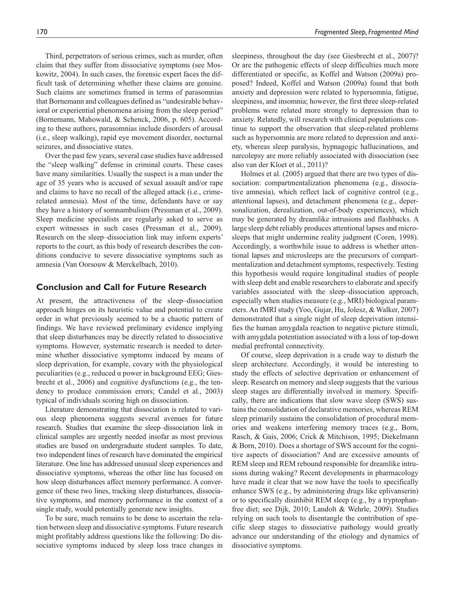Third, perpetrators of serious crimes, such as murder, often claim that they suffer from dissociative symptoms (see Moskowitz, 2004). In such cases, the forensic expert faces the difficult task of determining whether these claims are genuine. Such claims are sometimes framed in terms of parasomnias that Bornemann and colleagues defined as "undesirable behavioral or experiential phenomena arising from the sleep period" (Bornemann, Mahowald, & Schenck, 2006, p. 605). According to these authors, parasomnias include disorders of arousal (i.e., sleep walking), rapid eye movement disorder, nocturnal seizures, and dissociative states.

Over the past few years, several case studies have addressed the "sleep walking" defense in criminal courts. These cases have many similarities. Usually the suspect is a man under the age of 35 years who is accused of sexual assault and/or rape and claims to have no recall of the alleged attack (i.e., crimerelated amnesia). Most of the time, defendants have or say they have a history of somnambulism (Pressman et al., 2009). Sleep medicine specialists are regularly asked to serve as expert witnesses in such cases (Pressman et al., 2009). Research on the sleep–dissociation link may inform experts' reports to the court, as this body of research describes the conditions conducive to severe dissociative symptoms such as amnesia (Van Oorsouw & Merckelbach, 2010).

#### **Conclusion and Call for Future Research**

At present, the attractiveness of the sleep–dissociation approach hinges on its heuristic value and potential to create order in what previously seemed to be a chaotic pattern of findings. We have reviewed preliminary evidence implying that sleep disturbances may be directly related to dissociative symptoms. However, systematic research is needed to determine whether dissociative symptoms induced by means of sleep deprivation, for example, covary with the physiological peculiarities (e.g., reduced  $\alpha$  power in background EEG; Giesbrecht et al., 2006) and cognitive dysfunctions (e.g., the tendency to produce commission errors; Candel et al., 2003) typical of individuals scoring high on dissociation.

Literature demonstrating that dissociation is related to various sleep phenomena suggests several avenues for future research. Studies that examine the sleep–dissociation link in clinical samples are urgently needed insofar as most previous studies are based on undergraduate student samples. To date, two independent lines of research have dominated the empirical literature. One line has addressed unusual sleep experiences and dissociative symptoms, whereas the other line has focused on how sleep disturbances affect memory performance. A convergence of these two lines, tracking sleep disturbances, dissociative symptoms, and memory performance in the context of a single study, would potentially generate new insights.

To be sure, much remains to be done to ascertain the relation between sleep and dissociative symptoms. Future research might profitably address questions like the following: Do dissociative symptoms induced by sleep loss trace changes in

sleepiness, throughout the day (see Giesbrecht et al., 2007)? Or are the pathogenic effects of sleep difficulties much more differentiated or specific, as Koffel and Watson (2009a) proposed? Indeed, Koffel and Watson (2009a) found that both anxiety and depression were related to hypersomnia, fatigue, sleepiness, and insomnia; however, the first three sleep-related problems were related more strongly to depression than to anxiety. Relatedly, will research with clinical populations continue to support the observation that sleep-related problems such as hypersomnia are more related to depression and anxiety, whereas sleep paralysis, hypnagogic hallucinations, and narcolepsy are more reliably associated with dissociation (see also van der Kloet et al., 2011)?

Holmes et al. (2005) argued that there are two types of dissociation: compartmentalization phenomena (e.g., dissociative amnesia), which reflect lack of cognitive control (e.g., attentional lapses), and detachment phenomena (e.g., depersonalization, derealization, out-of-body experiences), which may be generated by dreamlike intrusions and flashbacks. A large sleep debt reliably produces attentional lapses and microsleeps that might undermine reality judgment (Coren, 1998). Accordingly, a worthwhile issue to address is whether attentional lapses and microsleeps are the precursors of compartmentalization and detachment symptoms, respectively. Testing this hypothesis would require longitudinal studies of people with sleep debt and enable researchers to elaborate and specify variables associated with the sleep–dissociation approach, especially when studies measure (e.g., MRI) biological parameters. An fMRI study (Yoo, Gujar, Hu, Jolesz, & Walker, 2007) demonstrated that a single night of sleep deprivation intensifies the human amygdala reaction to negative picture stimuli, with amygdala potentiation associated with a loss of top-down medial prefrontal connectivity.

Of course, sleep deprivation is a crude way to disturb the sleep architecture. Accordingly, it would be interesting to study the effects of selective deprivation or enhancement of sleep. Research on memory and sleep suggests that the various sleep stages are differentially involved in memory. Specifically, there are indications that slow wave sleep (SWS) sustains the consolidation of declarative memories, whereas REM sleep primarily sustains the consolidation of procedural memories and weakens interfering memory traces (e.g., Born, Rasch, & Gais, 2006; Crick & Mitchison, 1995; Diekelmann & Born, 2010). Does a shortage of SWS account for the cognitive aspects of dissociation? And are excessive amounts of REM sleep and REM rebound responsible for dreamlike intrusions during waking? Recent developments in pharmacology have made it clear that we now have the tools to specifically enhance SWS (e.g., by administering drugs like eplivanserin) or to specifically disinhibit REM sleep (e.g., by a tryptophanfree diet; see Dijk, 2010; Landolt & Wehrle, 2009). Studies relying on such tools to disentangle the contribution of specific sleep stages to dissociative pathology would greatly advance our understanding of the etiology and dynamics of dissociative symptoms.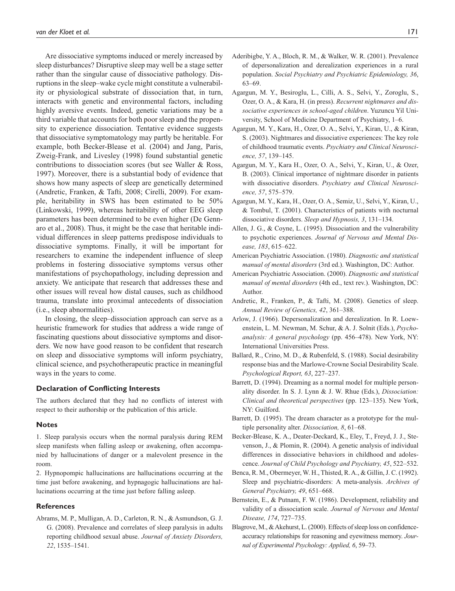Are dissociative symptoms induced or merely increased by sleep disturbances? Disruptive sleep may well be a stage setter rather than the singular cause of dissociative pathology. Disruptions in the sleep–wake cycle might constitute a vulnerability or physiological substrate of dissociation that, in turn, interacts with genetic and environmental factors, including highly aversive events. Indeed, genetic variations may be a third variable that accounts for both poor sleep and the propensity to experience dissociation. Tentative evidence suggests that dissociative symptomatology may partly be heritable. For example, both Becker-Blease et al. (2004) and Jang, Paris, Zweig-Frank, and Livesley (1998) found substantial genetic contributions to dissociation scores (but see Waller & Ross, 1997). Moreover, there is a substantial body of evidence that shows how many aspects of sleep are genetically determined (Andretic, Franken, & Tafti, 2008; Cirelli, 2009). For example, heritability in SWS has been estimated to be 50% (Linkowski, 1999), whereas heritability of other EEG sleep parameters has been determined to be even higher (De Gennaro et al., 2008). Thus, it might be the case that heritable individual differences in sleep patterns predispose individuals to dissociative symptoms. Finally, it will be important for researchers to examine the independent influence of sleep problems in fostering dissociative symptoms versus other manifestations of psychopathology, including depression and anxiety. We anticipate that research that addresses these and other issues will reveal how distal causes, such as childhood trauma, translate into proximal antecedents of dissociation (i.e., sleep abnormalities).

In closing, the sleep–dissociation approach can serve as a heuristic framework for studies that address a wide range of fascinating questions about dissociative symptoms and disorders. We now have good reason to be confident that research on sleep and dissociative symptoms will inform psychiatry, clinical science, and psychotherapeutic practice in meaningful ways in the years to come.

#### **Declaration of Conflicting Interests**

The authors declared that they had no conflicts of interest with respect to their authorship or the publication of this article.

#### **Notes**

1. Sleep paralysis occurs when the normal paralysis during REM sleep manifests when falling asleep or awakening, often accompanied by hallucinations of danger or a malevolent presence in the room.

2. Hypnopompic hallucinations are hallucinations occurring at the time just before awakening, and hypnagogic hallucinations are hallucinations occurring at the time just before falling asleep.

#### **References**

Abrams, M. P., Mulligan, A. D., Carleton, R. N., & Asmundson, G. J. G. (2008). Prevalence and correlates of sleep paralysis in adults reporting childhood sexual abuse. *Journal of Anxiety Disorders, 22*, 1535–1541.

- Aderibigbe, Y. A., Bloch, R. M., & Walker, W. R. (2001). Prevalence of depersonalization and derealization experiences in a rural population. *Social Psychiatry and Psychiatric Epidemiology, 36*, 63–69.
- Agargun, M. Y., Besiroglu, L., Cilli, A. S., Selvi, Y., Zoroglu, S., Ozer, O. A., & Kara, H. (in press). *Recurrent nightmares and dissociative experiences in school-aged children*. Yuzuncu Yil University, School of Medicine Department of Psychiatry, 1–6.
- Agargun, M. Y., Kara, H., Ozer, O. A., Selvi, Y., Kiran, U., & Kiran, S. (2003). Nightmares and dissociative experiences: The key role of childhood traumatic events. *Psychiatry and Clinical Neuroscience, 57*, 139–145.
- Agargun, M. Y., Kara H., Ozer, O. A., Selvi, Y., Kiran, U., & Ozer, B. (2003). Clinical importance of nightmare disorder in patients with dissociative disorders. *Psychiatry and Clinical Neuroscience, 57*, 575–579.
- Agargun, M. Y., Kara, H., Ozer, O. A., Semiz, U., Selvi, Y., Kiran, U., & Tombul, T. (2001). Characteristics of patients with nocturnal dissociative disorders. *Sleep and Hypnosis, 3*, 131–134.
- Allen, J. G., & Coyne, L. (1995). Dissociation and the vulnerability to psychotic experiences. *Journal of Nervous and Mental Disease, 183*, 615–622.
- American Psychiatric Association. (1980). *Diagnostic and statistical manual of mental disorders* (3rd ed.). Washington, DC: Author.
- American Psychiatric Association. (2000). *Diagnostic and statistical manual of mental disorders* (4th ed., text rev.). Washington, DC: Author.
- Andretic, R., Franken, P., & Tafti, M. (2008). Genetics of sleep. *Annual Review of Genetics, 42*, 361–388.
- Arlow, J. (1966). Depersonalization and derealization. In R. Loewenstein, L. M. Newman, M. Schur, & A. J. Solnit (Eds.), *Psychoanalysis: A general psychology* (pp. 456–478). New York, NY: International Universities Press.
- Ballard, R., Crino, M. D., & Rubenfeld, S. (1988). Social desirability response bias and the Marlowe-Crowne Social Desirability Scale. *Psychological Report, 63*, 227–237.
- Barrett, D. (1994). Dreaming as a normal model for multiple personality disorder. In S. J. Lynn & J. W. Rhue (Eds.), *Dissociation: Clinical and theoretical perspectives* (pp. 123–135). New York, NY: Guilford.
- Barrett, D. (1995). The dream character as a prototype for the multiple personality alter. *Dissociation, 8*, 61–68.
- Becker-Blease, K. A., Deater-Deckard, K., Eley, T., Freyd, J. J., Stevenson, J., & Plomin, R. (2004). A genetic analysis of individual differences in dissociative behaviors in childhood and adolescence. *Journal of Child Psychology and Psychiatry, 45*, 522–532.
- Benca, R. M., Obermeyer, W. H., Thisted, R. A., & Gillin, J. C. (1992). Sleep and psychiatric-disorders: A meta-analysis. *Archives of General Psychiatry, 49*, 651–668.
- Bernstein, E., & Putnam, F. W. (1986). Development, reliability and validity of a dissociation scale. *Journal of Nervous and Mental Disease, 174*, 727–735.
- Blagrove, M., & Akehurst, L. (2000). Effects of sleep loss on confidenceaccuracy relationships for reasoning and eyewitness memory. *Journal of Experimental Psychology: Applied, 6*, 59–73.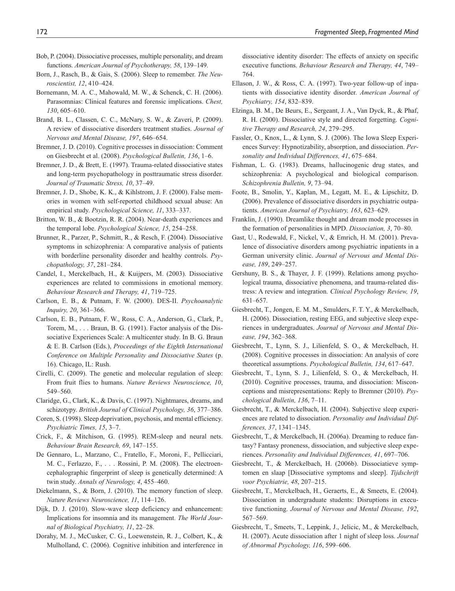- Bob, P. (2004). Dissociative processes, multiple personality, and dream functions. *American Journal of Psychotherapy, 58*, 139–149.
- Born, J., Rasch, B., & Gais, S. (2006). Sleep to remember. *The Neuroscientist, 12*, 410–424.
- Bornemann, M. A. C., Mahowald, M. W., & Schenck, C. H. (2006). Parasomnias: Clinical features and forensic implications. *Chest, 130*, 605–610.
- Brand, B. L., Classen, C. C., McNary, S. W., & Zaveri, P. (2009). A review of dissociative disorders treatment studies. *Journal of Nervous and Mental Disease, 197*, 646–654.
- Bremner, J. D. (2010). Cognitive processes in dissociation: Comment on Giesbrecht et al. (2008). *Psychological Bulletin, 136*, 1–6.
- Bremner, J. D., & Brett, E. (1997). Trauma-related dissociative states and long-term psychopathology in posttraumatic stress disorder. *Journal of Traumatic Stress, 10*, 37–49.
- Bremner, J. D., Shobe, K. K., & Kihlstrom, J. F. (2000). False memories in women with self-reported childhood sexual abuse: An empirical study. *Psychological Science, 11*, 333–337.
- Britton, W. B., & Bootzin, R. R. (2004). Near-death experiences and the temporal lobe. *Psychological Science, 15*, 254–258.
- Brunner, R., Parzer, P., Schmitt, R., & Resch, F. (2004). Dissociative symptoms in schizophrenia: A comparative analysis of patients with borderline personality disorder and healthy controls. *Psychopathology, 37*, 281–284.
- Candel, I., Merckelbach, H., & Kuijpers, M. (2003). Dissociative experiences are related to commissions in emotional memory. *Behaviour Research and Therapy, 41*, 719–725.
- Carlson, E. B., & Putnam, F. W. (2000). DES-II. *Psychoanalytic Inquiry, 20*, 361–366.
- Carlson, E. B., Putnam, F. W., Ross, C. A., Anderson, G., Clark, P., Torem, M., . . . Braun, B. G. (1991). Factor analysis of the Dissociative Experiences Scale: A multicenter study. In B. G. Braun & E. B. Carlson (Eds.), *Proceedings of the Eighth International Conference on Multiple Personality and Dissociative States* (p. 16). Chicago, IL: Rush.
- Cirelli, C. (2009). The genetic and molecular regulation of sleep: From fruit flies to humans. *Nature Reviews Neuroscience, 10*, 549–560.
- Claridge, G., Clark, K., & Davis, C. (1997). Nightmares, dreams, and schizotypy. *British Journal of Clinical Psychology, 36*, 377–386.
- Coren, S. (1998). Sleep deprivation, psychosis, and mental efficiency. *Psychiatric Times, 15*, 3–7.
- Crick, F., & Mitchison, G. (1995). REM-sleep and neural nets. *Behaviour Brain Research, 69*, 147–155.
- De Gennaro, L., Marzano, C., Fratello, F., Moroni, F., Pellicciari, M. C., Ferlazzo, F., . . . Rossini, P. M. (2008). The electroencephalographic fingerprint of sleep is genetically determined: A twin study. *Annals of Neurology, 4*, 455–460.
- Diekelmann, S., & Born, J. (2010). The memory function of sleep. *Nature Reviews Neuroscience, 11*, 114–126.
- Dijk, D. J. (2010). Slow-wave sleep deficiency and enhancement: Implications for insomnia and its management. *The World Journal of Biological Psychiatry, 11*, 22–28.
- Dorahy, M. J., McCusker, C. G., Loewenstein, R. J., Colbert, K., & Mulholland, C. (2006). Cognitive inhibition and interference in

dissociative identity disorder: The effects of anxiety on specific executive functions. *Behaviour Research and Therapy, 44*, 749– 764.

- Ellason, J. W., & Ross, C. A. (1997). Two-year follow-up of inpatients with dissociative identity disorder. *American Journal of Psychiatry, 154*, 832–839.
- Elzinga, B. M., De Beurs, E., Sergeant, J. A., Van Dyck, R., & Phaf, R. H. (2000). Dissociative style and directed forgetting. *Cognitive Therapy and Research, 24*, 279–295.
- Fassler, O., Knox, L., & Lynn, S. J. (2006). The Iowa Sleep Experiences Survey: Hypnotizability, absorption, and dissociation. *Personality and Individual Differences, 41*, 675–684.
- Fishman, L. G. (1983). Dreams, hallucinogenic drug states, and schizophrenia: A psychological and biological comparison. *Schizophrenia Bulletin, 9*, 73–94.
- Foote, B., Smolin, Y., Kaplan, M., Legatt, M. E., & Lipschitz, D. (2006). Prevalence of dissociative disorders in psychiatric outpatients. *American Journal of Psychiatry, 163*, 623–629.
- Franklin, J. (1990). Dreamlike thought and dream mode processes in the formation of personalities in MPD. *Dissociation, 3*, 70–80.
- Gast, U., Rodewald, F., Nickel, V., & Emrich, H. M. (2001). Prevalence of dissociative disorders among psychiatric inpatients in a German university clinic. *Journal of Nervous and Mental Disease, 189*, 249–257.
- Gershuny, B. S., & Thayer, J. F. (1999). Relations among psychological trauma, dissociative phenomena, and trauma-related distress: A review and integration. *Clinical Psychology Review, 19*, 631–657.
- Giesbrecht, T., Jongen, E. M. M., Smulders, F. T. Y., & Merckelbach, H. (2006). Dissociation, resting EEG, and subjective sleep experiences in undergraduates. *Journal of Nervous and Mental Disease, 194*, 362–368.
- Giesbrecht, T., Lynn, S. J., Lilienfeld, S. O., & Merckelbach, H. (2008). Cognitive processes in dissociation: An analysis of core theoretical assumptions. *Psychological Bulletin, 134*, 617–647.
- Giesbrecht, T., Lynn, S. J., Lilienfeld, S. O., & Merckelbach, H. (2010). Cognitive processes, trauma, and dissociation: Misconceptions and misrepresentations: Reply to Bremner (2010). *Psychological Bulletin, 136*, 7–11.
- Giesbrecht, T., & Merckelbach, H. (2004). Subjective sleep experiences are related to dissociation. *Personality and Individual Differences, 37*, 1341–1345.
- Giesbrecht, T., & Merckelbach, H. (2006a). Dreaming to reduce fantasy? Fantasy proneness, dissociation, and subjective sleep experiences. *Personality and Individual Differences, 41*, 697–706.
- Giesbrecht, T., & Merckelbach, H. (2006b). Dissociatieve symptomen en slaap [Dissociative symptoms and sleep]. *Tijdschrift voor Psychiatrie, 48*, 207–215.
- Giesbrecht, T., Merckelbach, H., Geraerts, E., & Smeets, E. (2004). Dissociation in undergraduate students: Disruptions in executive functioning. *Journal of Nervous and Mental Disease, 192*, 567–569.
- Giesbrecht, T., Smeets, T., Leppink, J., Jelicic, M., & Merckelbach, H. (2007). Acute dissociation after 1 night of sleep loss. *Journal of Abnormal Psychology, 116*, 599–606.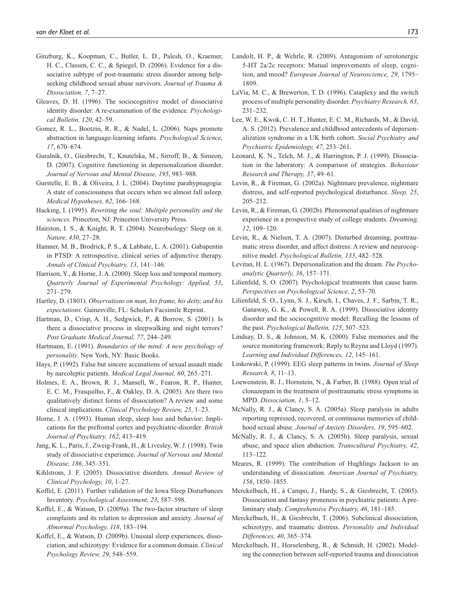- Ginzburg, K., Koopman, C., Butler, L. D., Palesh, O., Kraemer, H. C., Classen, C. C., & Spiegel, D. (2006). Evidence for a dissociative subtype of post-traumatic stress disorder among helpseeking childhood sexual abuse survivors. *Journal of Trauma & Dissociation, 7*, 7–27.
- Gleaves, D. H. (1996). The sociocognitive model of dissociative identity disorder: A re-examination of the evidence. *Psychological Bulletin, 120*, 42–59.
- Gomez, R. L., Bootzin, R. R., & Nadel, L. (2006). Naps promote abstraction in language-learning infants. *Psychological Science, 17*, 670–674.
- Guralnik, O., Giesbrecht, T., Knutelska, M., Sirroff, B., & Simeon, D. (2007). Cognitive functioning in depersonalization disorder. *Journal of Nervous and Mental Disease, 195*, 983–988.
- Gurstelle, E. B., & Oliveira, J. L. (2004). Daytime parahypnagogia: A state of consciousness that occurs when we almost fall asleep. *Medical Hypotheses, 62*, 166–168.
- Hacking, I. (1995). *Rewriting the soul: Multiple personality and the sciences*. Princeton, NJ: Princeton University Press.
- Hairston, I. S., & Knight, R. T. (2004). Neurobiology: Sleep on it. *Nature, 430*, 27–28.
- Hamner, M. B., Brodrick, P. S., & Labbate, L. A. (2001). Gabapentin in PTSD: A retrospective, clinical series of adjunctive therapy. *Annals of Clinical Psychiatry, 13*, 141–146.
- Harrison, Y., & Horne, J. A. (2000). Sleep loss and temporal memory. *Quarterly Journal of Experimental Psychology: Applied, 53*, 271–279.
- Hartley, D. (1801). *Observations on man, his frame, his deity, and his expectations*. Gainesville, FL: Scholars Facsimile Reprint.
- Hartman, D., Crisp, A. H., Sedgwick, P., & Borrow, S. (2001). Is there a dissociative process in sleepwalking and night terrors? *Post Graduate Medical Journal, 77*, 244–249.
- Hartmann, E. (1991). *Boundaries of the mind: A new psychology of personality*. New York, NY: Basic Books.
- Hays, P. (1992). False but sincere accusations of sexual assault made by narcoleptic patients. *Medical Legal Journal, 60*, 265–271.
- Holmes, E. A., Brown, R. J., Mansell, W., Fearon, R. P., Hunter, E. C. M., Frasquilho, F., & Oakley, D. A. (2005). Are there two qualitatively distinct forms of dissociation? A review and some clinical implications. *Clinical Psychology Review, 25*, 1–23.
- Horne, J. A. (1993). Human sleep, sleep loss and behavior: Implications for the prefrontal cortex and psychiatric-disorder. *British Journal of Psychiatry, 162*, 413–419.
- Jang, K. L., Paris, J., Zweig-Frank, H., & Livesley, W. J. (1998). Twin study of dissociative experience. *Journal of Nervous and Mental Disease, 186*, 345–351.
- Kihlstrom, J. F. (2005). Dissociative disorders. *Annual Review of Clinical Psychology, 10*, 1–27.
- Koffel, E. (2011). Further validation of the Iowa Sleep Disturbances Inventory. *Psychological Assessment, 23*, 587–598.
- Koffel, E., & Watson, D. (2009a). The two-factor structure of sleep complaints and its relation to depression and anxiety. *Journal of Abnormal Psychology, 118*, 183–194.
- Koffel, E., & Watson, D. (2009b). Unusual sleep experiences, dissociation, and schizotypy: Evidence for a common domain. *Clinical Psychology Review, 29*, 548–559.
- Landolt, H. P., & Wehrle, R. (2009). Antagonism of serotonergic 5-HT 2a/2c receptors: Mutual improvements of sleep, cognition, and mood? *European Journal of Neuroscience, 29*, 1795– 1809.
- LaVia, M. C., & Brewerton, T. D. (1996). Cataplexy and the switch process of multiple personality disorder. *Psychiatry Research, 63*, 231–232.
- Lee, W. E., Kwok, C. H. T., Hunter, E. C. M., Richards, M., & David, A. S. (2012). Prevalence and childhood antecedents of depersonalization syndrome in a UK birth cohort. *Social Psychiatry and Psychiatric Epidemiology, 47*, 253–261.
- Leonard, K. N., Telch, M. J., & Harrington, P. J. (1999). Dissociation in the laboratory: A comparison of strategies. *Behaviour Research and Therapy, 37*, 49–61.
- Levin, R., & Fireman, G. (2002a). Nightmare prevalence, nightmare distress, and self-reported psychological disturbance. *Sleep, 25*, 205–212.
- Levin, R., & Fireman, G. (2002b). Phenomenal qualities of nightmare experience in a prospective study of college students. *Dreaming, 12*, 109–120.
- Levin, R., & Nielsen, T. A. (2007). Disturbed dreaming, posttraumatic stress disorder, and affect distress: A review and neurocognitive model. *Psychological Bulletin, 133*, 482–528.
- Levitan, H. L. (1967). Depersonalization and the dream. *The Psychoanalytic Quarterly, 36*, 157–171.
- Lilienfeld, S. O. (2007). Psychological treatments that cause harm. *Perspectives on Psychological Science, 2*, 53–70.
- Lilienfeld, S. O., Lynn, S. J., Kirsch, I., Chaves, J. F., Sarbin, T. R., Ganaway, G. K., & Powell, R. A. (1999). Dissociative identity disorder and the sociocognitive model: Recalling the lessons of the past. *Psychological Bulletin, 125*, 507–523.
- Lindsay, D. S., & Johnson, M. K. (2000). False memories and the source monitoring framework: Reply to Reyna and Lloyd (1997). *Learning and Individual Differences, 12*, 145–161.
- Linkowski, P. (1999). EEG sleep patterns in twins. *Journal of Sleep Research, 8*, 11–13.
- Loewenstein, R. J., Hornstein, N., & Farber, B. (1988). Open trial of clonazepam in the treatment of posttraumatic stress symptoms in MPD. *Dissociation, 1*, 3–12.
- McNally, R. J., & Clancy, S. A. (2005a). Sleep paralysis in adults reporting repressed, recovered, or continuous memories of childhood sexual abuse. *Journal of Anxiety Disorders, 19*, 595–602.
- McNally, R. J., & Clancy, S. A. (2005b). Sleep paralysis, sexual abuse, and space alien abduction. *Transcultural Psychiatry, 42*, 113–122.
- Meares, R. (1999). The contribution of Hughlings Jackson to an understanding of dissociation. *American Journal of Psychiatry, 156*, 1850–1855.
- Merckelbach, H., à Campo, J., Hardy, S., & Giesbrecht, T. (2005). Dissociation and fantasy proneness in psychiatric patients: A preliminary study. *Comprehensive Psychiatry, 46*, 181–185.
- Merckelbach, H., & Giesbrecht, T. (2006). Subclinical dissociation, schizotypy, and traumatic distress. *Personality and Individual Differences, 40*, 365–374.
- Merckelbach, H., Horselenberg, R., & Schmidt, H. (2002). Modeling the connection between self-reported trauma and dissociation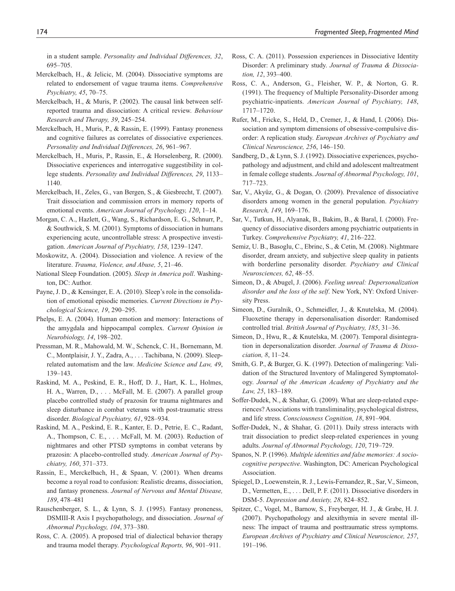in a student sample. *Personality and Individual Differences, 32*, 695–705.

- Merckelbach, H., & Jelicic, M. (2004). Dissociative symptoms are related to endorsement of vague trauma items. *Comprehensive Psychiatry, 45*, 70–75.
- Merckelbach, H., & Muris, P. (2002). The causal link between selfreported trauma and dissociation: A critical review. *Behaviour Research and Therapy, 39*, 245–254.
- Merckelbach, H., Muris, P., & Rassin, E. (1999). Fantasy proneness and cognitive failures as correlates of dissociative experiences. *Personality and Individual Differences, 26*, 961–967.
- Merckelbach, H., Muris, P., Rassin, E., & Horselenberg, R. (2000). Dissociative experiences and interrogative suggestibility in college students. *Personality and Individual Differences, 29*, 1133– 1140.
- Merckelbach, H., Zeles, G., van Bergen, S., & Giesbrecht, T. (2007). Trait dissociation and commission errors in memory reports of emotional events. *American Journal of Psychology, 120*, 1–14.
- Morgan, C. A., Hazlett, G., Wang, S., Richardson, E. G., Schnurr, P., & Southwick, S. M. (2001). Symptoms of dissociation in humans experiencing acute, uncontrollable stress: A prospective investigation. *American Journal of Psychiatry, 158*, 1239–1247.
- Moskowitz, A. (2004). Dissociation and violence. A review of the literature. *Trauma, Violence, and Abuse, 5*, 21–46.
- National Sleep Foundation. (2005). *Sleep in America poll*. Washington, DC: Author.
- Payne, J. D., & Kensinger, E. A. (2010). Sleep's role in the consolidation of emotional episodic memories. *Current Directions in Psychological Science, 19*, 290–295.
- Phelps, E. A. (2004). Human emotion and memory: Interactions of the amygdala and hippocampal complex. *Current Opinion in Neurobiology, 14*, 198–202.
- Pressman, M. R., Mahowald, M. W., Schenck, C. H., Bornemann, M. C., Montplaisir, J. Y., Zadra, A., . . . Tachibana, N. (2009). Sleeprelated automatism and the law. *Medicine Science and Law, 49*, 139–143.
- Raskind, M. A., Peskind, E. R., Hoff, D. J., Hart, K. L., Holmes, H. A., Warren, D., . . . McFall, M. E. (2007). A parallel group placebo controlled study of prazosin for trauma nightmares and sleep disturbance in combat veterans with post-traumatic stress disorder. *Biological Psychiatry, 61*, 928–934.
- Raskind, M. A., Peskind, E. R., Kanter, E. D., Petrie, E. C., Radant, A., Thompson, C. E., . . . McFall, M. M. (2003). Reduction of nightmares and other PTSD symptoms in combat veterans by prazosin: A placebo-controlled study. *American Journal of Psychiatry, 160*, 371–373.
- Rassin, E., Merckelbach, H., & Spaan, V. (2001). When dreams become a royal road to confusion: Realistic dreams, dissociation, and fantasy proneness. *Journal of Nervous and Mental Disease, 189*, 478–481
- Rauschenberger, S. L., & Lynn, S. J. (1995). Fantasy proneness, DSMIII-R Axis I psychopathology, and dissociation. *Journal of Abnormal Psychology, 104*, 373–380.
- Ross, C. A. (2005). A proposed trial of dialectical behavior therapy and trauma model therapy. *Psychological Reports, 96*, 901–911.
- Ross, C. A. (2011). Possession experiences in Dissociative Identity Disorder: A preliminary study. *Journal of Trauma & Dissociation, 12*, 393–400.
- Ross, C. A., Anderson, G., Fleisher, W. P., & Norton, G. R. (1991). The frequency of Multiple Personality-Disorder among psychiatric-inpatients. *American Journal of Psychiatry, 148*, 1717–1720.
- Rufer, M., Fricke, S., Held, D., Cremer, J., & Hand, I. (2006). Dissociation and symptom dimensions of obsessive-compulsive disorder: A replication study. *European Archives of Psychiatry and Clinical Neuroscience, 256*, 146–150.
- Sandberg, D., & Lynn, S. J. (1992). Dissociative experiences, psychopathology and adjustment, and child and adolescent maltreatment in female college students. *Journal of Abnormal Psychology, 101*, 717–723.
- Sar, V., Akyüz, G., & Dogan, O. (2009). Prevalence of dissociative disorders among women in the general population. *Psychiatry Research, 149*, 169–176.
- Sar, V., Tutkun, H., Alyanak, B., Bakim, B., & Baral, I. (2000). Frequency of dissociative disorders among psychiatric outpatients in Turkey. *Comprehensive Psychiatry, 41*, 216–222.
- Semiz, U. B., Basoglu, C., Ebrinc, S., & Cetin, M. (2008). Nightmare disorder, dream anxiety, and subjective sleep quality in patients with borderline personality disorder. *Psychiatry and Clinical Neurosciences, 62*, 48–55.
- Simeon, D., & Abugel, J. (2006). *Feeling unreal: Depersonalization disorder and the loss of the self*. New York, NY: Oxford University Press.
- Simeon, D., Guralnik, O., Schmeidler, J., & Knutelska, M. (2004). Fluoxetine therapy in depersonalisation disorder: Randomised controlled trial. *British Journal of Psychiatry, 185*, 31–36.
- Simeon, D., Hwu, R., & Knutelska, M. (2007). Temporal disintegration in depersonalization disorder. *Journal of Trauma & Dissociation, 8*, 11–24.
- Smith, G. P., & Burger, G. K. (1997). Detection of malingering: Validation of the Structured Inventory of Malingered Symptomatology. *Journal of the American Academy of Psychiatry and the Law, 25*, 183–189.
- Soffer-Dudek, N., & Shahar, G. (2009). What are sleep-related experiences? Associations with transliminality, psychological distress, and life stress. *Consciousness Cognition, 18*, 891–904.
- Soffer-Dudek, N., & Shahar, G. (2011). Daily stress interacts with trait dissociation to predict sleep-related experiences in young adults. *Journal of Abnormal Psychology, 120*, 719–729.
- Spanos, N. P. (1996). *Multiple identities and false memories: A sociocognitive perspective*. Washington, DC: American Psychological Association.
- Spiegel, D., Loewenstein, R. J., Lewis-Fernandez, R., Sar, V., Simeon, D., Vermetten, E., . . . Dell, P. F. (2011). Dissociative disorders in DSM-5. *Depression and Anxiety, 28*, 824–852.
- Spitzer, C., Vogel, M., Barnow, S., Freyberger, H. J., & Grabe, H. J. (2007). Psychopathology and alexithymia in severe mental illness: The impact of trauma and posttraumatic stress symptoms. *European Archives of Psychiatry and Clinical Neuroscience, 257*, 191–196.